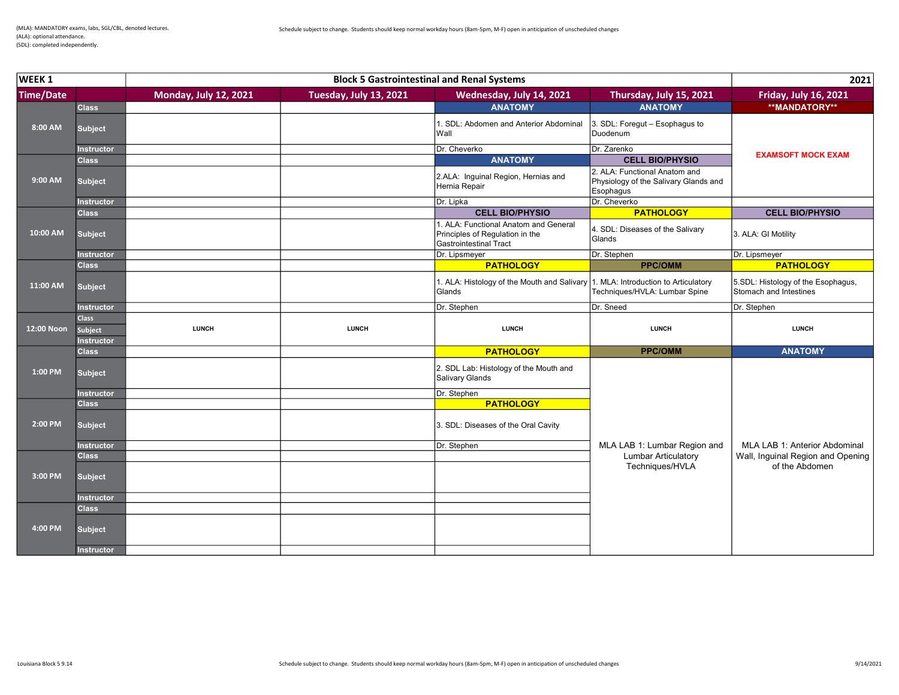| WEEK <sub>1</sub><br><b>Block 5 Gastrointestinal and Renal Systems</b> |                              |                              | 2021                   |                                                                                                           |                                                                                     |                                                              |
|------------------------------------------------------------------------|------------------------------|------------------------------|------------------------|-----------------------------------------------------------------------------------------------------------|-------------------------------------------------------------------------------------|--------------------------------------------------------------|
| <b>Time/Date</b>                                                       |                              | <b>Monday, July 12, 2021</b> | Tuesday, July 13, 2021 | Wednesday, July 14, 2021                                                                                  | Thursday, July 15, 2021                                                             | Friday, July 16, 2021                                        |
|                                                                        | <b>Class</b>                 |                              |                        | <b>ANATOMY</b>                                                                                            | <b>ANATOMY</b>                                                                      | <b>**MANDATORY**</b>                                         |
| 8:00 AM                                                                | <b>Subject</b>               |                              |                        | 1. SDL: Abdomen and Anterior Abdominal<br>Wall                                                            | 3. SDL: Foregut - Esophagus to<br>Duodenum                                          |                                                              |
|                                                                        | <b>Instructor</b>            |                              |                        | Dr. Cheverko                                                                                              | Dr. Zarenko                                                                         | <b>EXAMSOFT MOCK EXAM</b>                                    |
|                                                                        | <b>Class</b>                 |                              |                        | <b>ANATOMY</b>                                                                                            | <b>CELL BIO/PHYSIO</b>                                                              |                                                              |
| 9:00 AM                                                                | <b>Subject</b>               |                              |                        | 2.ALA: Inguinal Region, Hernias and<br>Hernia Repair                                                      | 2. ALA: Functional Anatom and<br>Physiology of the Salivary Glands and<br>Esophagus |                                                              |
|                                                                        | <b>Instructor</b>            |                              |                        | Dr. Lipka                                                                                                 | Dr. Cheverko                                                                        |                                                              |
|                                                                        | <b>Class</b>                 |                              |                        | <b>CELL BIO/PHYSIO</b>                                                                                    | <b>PATHOLOGY</b>                                                                    | <b>CELL BIO/PHYSIO</b>                                       |
| 10:00 AM                                                               | <b>Subject</b>               |                              |                        | 1. ALA: Functional Anatom and General<br>Principles of Regulation in the<br><b>Gastrointestinal Tract</b> | 4. SDL: Diseases of the Salivary<br>Glands                                          | 3. ALA: GI Motility                                          |
|                                                                        | <b>Instructor</b>            |                              |                        | Dr. Lipsmeyer                                                                                             | Dr. Stephen                                                                         | Dr. Lipsmeyer                                                |
|                                                                        | <b>Class</b>                 |                              |                        | <b>PATHOLOGY</b>                                                                                          | <b>PPC/OMM</b>                                                                      | <b>PATHOLOGY</b>                                             |
| 11:00 AM                                                               | <b>Subject</b>               |                              |                        | 1. ALA: Histology of the Mouth and Salivary 1. MLA: Introduction to Articulatory<br>Glands                | Techniques/HVLA: Lumbar Spine                                                       | 5.SDL: Histology of the Esophagus,<br>Stomach and Intestines |
|                                                                        | <b>Instructor</b>            |                              |                        | Dr. Stephen                                                                                               | Dr. Sneed                                                                           | Dr. Stephen                                                  |
|                                                                        | <b>Class</b>                 |                              |                        |                                                                                                           |                                                                                     |                                                              |
| 12:00 Noon                                                             | Subject<br><b>Instructor</b> | <b>LUNCH</b>                 | <b>LUNCH</b>           | <b>LUNCH</b>                                                                                              | <b>LUNCH</b>                                                                        | <b>LUNCH</b>                                                 |
|                                                                        | <b>Class</b>                 |                              |                        | <b>PATHOLOGY</b>                                                                                          | <b>PPC/OMM</b>                                                                      | <b>ANATOMY</b>                                               |
| 1:00 PM                                                                | <b>Subject</b>               |                              |                        | 2. SDL Lab: Histology of the Mouth and<br>Salivary Glands                                                 |                                                                                     |                                                              |
|                                                                        | <b>Instructor</b>            |                              |                        | Dr. Stephen                                                                                               |                                                                                     |                                                              |
|                                                                        | <b>Class</b>                 |                              |                        |                                                                                                           |                                                                                     |                                                              |
| 2:00 PM                                                                |                              |                              |                        | <b>PATHOLOGY</b>                                                                                          |                                                                                     |                                                              |
|                                                                        | <b>Subject</b>               |                              |                        | 3. SDL: Diseases of the Oral Cavity                                                                       |                                                                                     |                                                              |
|                                                                        | Instructor                   |                              |                        | Dr. Stephen                                                                                               | MLA LAB 1: Lumbar Region and                                                        | MLA LAB 1: Anterior Abdominal                                |
|                                                                        | <b>Class</b>                 |                              |                        |                                                                                                           | <b>Lumbar Articulatory</b>                                                          | Wall, Inguinal Region and Opening                            |
| 3:00 PM                                                                | <b>Subject</b>               |                              |                        |                                                                                                           | Techniques/HVLA                                                                     | of the Abdomen                                               |
|                                                                        | Instructor                   |                              |                        |                                                                                                           |                                                                                     |                                                              |
|                                                                        | <b>Class</b>                 |                              |                        |                                                                                                           |                                                                                     |                                                              |
| 4:00 PM                                                                | <b>Subject</b>               |                              |                        |                                                                                                           |                                                                                     |                                                              |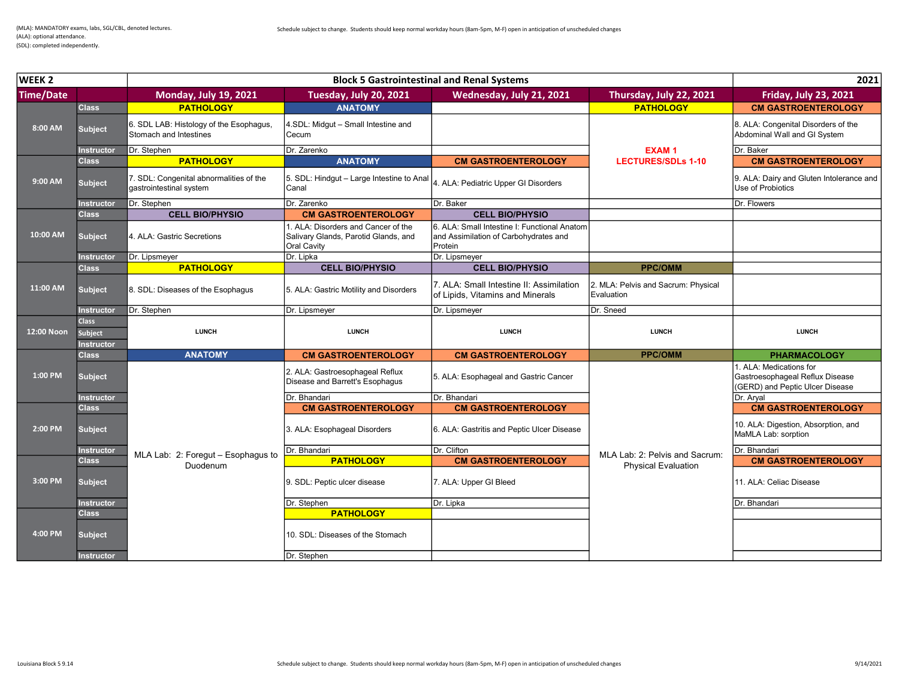| WEEK <sub>2</sub><br><b>Block 5 Gastrointestinal and Renal Systems</b> |                                                     |                                                                    | 2021                                                                                       |                                                                                                  |                                                   |                                                                                               |
|------------------------------------------------------------------------|-----------------------------------------------------|--------------------------------------------------------------------|--------------------------------------------------------------------------------------------|--------------------------------------------------------------------------------------------------|---------------------------------------------------|-----------------------------------------------------------------------------------------------|
| <b>Time/Date</b>                                                       |                                                     | <b>Monday, July 19, 2021</b>                                       | Tuesday, July 20, 2021                                                                     | Wednesday, July 21, 2021                                                                         | Thursday, July 22, 2021                           | <b>Friday, July 23, 2021</b>                                                                  |
|                                                                        | <b>Class</b>                                        | <b>PATHOLOGY</b>                                                   | <b>ANATOMY</b>                                                                             |                                                                                                  | <b>PATHOLOGY</b>                                  | <b>CM GASTROENTEROLOGY</b>                                                                    |
| 8:00 AM                                                                | <b>Subject</b>                                      | 6. SDL LAB: Histology of the Esophagus,<br>Stomach and Intestines  | 4.SDL: Midqut - Small Intestine and<br>Cecum                                               |                                                                                                  |                                                   | 8. ALA: Congenital Disorders of the<br>Abdominal Wall and GI System                           |
|                                                                        | <b>Instructor</b>                                   | Dr. Stephen                                                        | Dr. Zarenko                                                                                |                                                                                                  | <b>EXAM1</b>                                      | Dr. Baker                                                                                     |
|                                                                        | <b>Class</b>                                        | <b>PATHOLOGY</b>                                                   | <b>ANATOMY</b>                                                                             | <b>CM GASTROENTEROLOGY</b>                                                                       | <b>LECTURES/SDLs 1-10</b>                         | <b>CM GASTROENTEROLOGY</b>                                                                    |
| 9:00 AM                                                                | <b>Subject</b>                                      | 7. SDL: Congenital abnormalities of the<br>gastrointestinal system | 5. SDL: Hindgut - Large Intestine to Anal<br>Canal                                         | ALA: Pediatric Upper GI Disorders                                                                |                                                   | 9. ALA: Dairy and Gluten Intolerance and<br>Use of Probiotics                                 |
|                                                                        | Instructor                                          | Dr. Stephen                                                        | Dr. Zarenko                                                                                | Dr. Baker                                                                                        |                                                   | Dr. Flowers                                                                                   |
|                                                                        | <b>Class</b>                                        | <b>CELL BIO/PHYSIO</b>                                             | <b>CM GASTROENTEROLOGY</b>                                                                 | <b>CELL BIO/PHYSIO</b>                                                                           |                                                   |                                                                                               |
| 10:00 AM                                                               | <b>Subject</b>                                      | 4. ALA: Gastric Secretions                                         | I. ALA: Disorders and Cancer of the<br>Salivary Glands, Parotid Glands, and<br>Oral Cavity | 6. ALA: Small Intestine I: Functional Anatom<br>and Assimilation of Carbohydrates and<br>Protein |                                                   |                                                                                               |
|                                                                        | <b>Instructor</b>                                   | Dr. Lipsmeyer                                                      | Dr. Lipka                                                                                  | Dr. Lipsmeyer                                                                                    |                                                   |                                                                                               |
|                                                                        | <b>Class</b>                                        | <b>PATHOLOGY</b>                                                   | <b>CELL BIO/PHYSIO</b>                                                                     | <b>CELL BIO/PHYSIO</b>                                                                           | <b>PPC/OMM</b>                                    |                                                                                               |
| 11:00 AM                                                               | <b>Subject</b>                                      | 8. SDL: Diseases of the Esophagus                                  | 5. ALA: Gastric Motility and Disorders                                                     | 7. ALA: Small Intestine II: Assimilation<br>of Lipids, Vitamins and Minerals                     | 2. MLA: Pelvis and Sacrum: Physical<br>Evaluation |                                                                                               |
|                                                                        | Instructor                                          | Dr. Stephen                                                        | Dr. Lipsmeyer                                                                              | Dr. Lipsmeyer                                                                                    | Dr. Sneed                                         |                                                                                               |
| 12:00 Noon                                                             | <b>Class</b><br><b>Subject</b><br><b>Instructor</b> | <b>LUNCH</b>                                                       | <b>LUNCH</b>                                                                               | <b>LUNCH</b>                                                                                     | <b>LUNCH</b>                                      | <b>LUNCH</b>                                                                                  |
|                                                                        | <b>Class</b>                                        | <b>ANATOMY</b>                                                     | <b>CM GASTROENTEROLOGY</b>                                                                 | <b>CM GASTROENTEROLOGY</b>                                                                       | <b>PPC/OMM</b>                                    | <b>PHARMACOLOGY</b>                                                                           |
| $1:00$ PM                                                              | <b>Subject</b>                                      |                                                                    | 2. ALA: Gastroesophageal Reflux<br>Disease and Barrett's Esophagus                         | 5. ALA: Esophageal and Gastric Cancer                                                            |                                                   | I. ALA: Medications for<br>Gastroesophageal Reflux Disease<br>(GERD) and Peptic Ulcer Disease |
|                                                                        | <b>Instructor</b>                                   |                                                                    | Dr. Bhandari                                                                               | Dr. Bhandari                                                                                     |                                                   | Dr. Aryal                                                                                     |
|                                                                        | <b>Class</b>                                        |                                                                    | <b>CM GASTROENTEROLOGY</b>                                                                 | <b>CM GASTROENTEROLOGY</b>                                                                       |                                                   | <b>CM GASTROENTEROLOGY</b>                                                                    |
| 2:00 PM                                                                |                                                     |                                                                    |                                                                                            |                                                                                                  |                                                   |                                                                                               |
|                                                                        | <b>Subject</b>                                      |                                                                    | 3. ALA: Esophageal Disorders                                                               | 6. ALA: Gastritis and Peptic Ulcer Disease                                                       |                                                   | 10. ALA: Digestion, Absorption, and<br>MaMLA Lab: sorption                                    |
|                                                                        | Instructor                                          |                                                                    | Dr. Bhandari                                                                               | Dr. Clifton                                                                                      |                                                   | Dr. Bhandari                                                                                  |
|                                                                        | <b>Class</b>                                        | MLA Lab: 2: Foregut - Esophagus to                                 | <b>PATHOLOGY</b>                                                                           | <b>CM GASTROENTEROLOGY</b>                                                                       | MLA Lab: 2: Pelvis and Sacrum:                    | <b>CM GASTROENTEROLOGY</b>                                                                    |
| 3:00 PM                                                                | <b>Subject</b>                                      | Duodenum                                                           | 9. SDL: Peptic ulcer disease                                                               | 7. ALA: Upper GI Bleed                                                                           | <b>Physical Evaluation</b>                        | 11. ALA: Celiac Disease                                                                       |
|                                                                        | Instructor                                          |                                                                    | Dr. Stephen                                                                                | Dr. Lipka                                                                                        |                                                   | Dr. Bhandari                                                                                  |
|                                                                        | <b>Class</b>                                        |                                                                    | <b>PATHOLOGY</b>                                                                           |                                                                                                  |                                                   |                                                                                               |
| 4:00 PM                                                                | <b>Subject</b>                                      |                                                                    | 10. SDL: Diseases of the Stomach                                                           |                                                                                                  |                                                   |                                                                                               |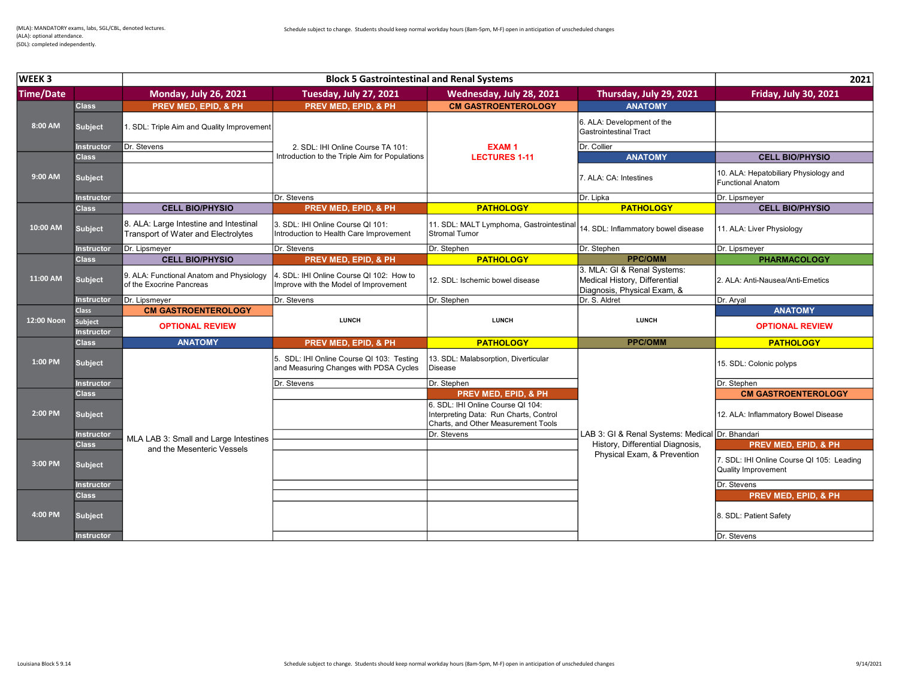| WEEK <sub>3</sub> |                                     |                                                                               | <b>Block 5 Gastrointestinal and Renal Systems</b>                                   |                                                                             |                                                                                             | 2021                                                              |
|-------------------|-------------------------------------|-------------------------------------------------------------------------------|-------------------------------------------------------------------------------------|-----------------------------------------------------------------------------|---------------------------------------------------------------------------------------------|-------------------------------------------------------------------|
| <b>Time/Date</b>  |                                     | <b>Monday, July 26, 2021</b>                                                  | <b>Tuesday, July 27, 2021</b>                                                       | Wednesday, July 28, 2021                                                    | Thursday, July 29, 2021                                                                     | <b>Friday, July 30, 2021</b>                                      |
|                   | <b>Class</b>                        | PREV MED, EPID, & PH                                                          | PREV MED, EPID, & PH                                                                | <b>CM GASTROENTEROLOGY</b>                                                  | <b>ANATOMY</b>                                                                              |                                                                   |
| 8:00 AM           | <b>Subject</b>                      | 1. SDL: Triple Aim and Quality Improvement                                    |                                                                                     |                                                                             | 6. ALA: Development of the<br><b>Gastrointestinal Tract</b>                                 |                                                                   |
|                   | <b>Instructor</b>                   | Dr. Stevens                                                                   | 2. SDL: IHI Online Course TA 101:                                                   | <b>EXAM1</b>                                                                | Dr. Collier                                                                                 |                                                                   |
|                   | <b>Class</b>                        |                                                                               | Introduction to the Triple Aim for Populations                                      | <b>LECTURES 1-11</b>                                                        | <b>ANATOMY</b>                                                                              | <b>CELL BIO/PHYSIO</b>                                            |
| 9:00 AM           | <b>Subject</b>                      |                                                                               |                                                                                     |                                                                             | 7. ALA: CA: Intestines                                                                      | 10. ALA: Hepatobiliary Physiology and<br><b>Functional Anatom</b> |
|                   | <b>Instructor</b>                   |                                                                               | Dr. Stevens                                                                         |                                                                             | Dr. Lipka                                                                                   | Dr. Lipsmeyer                                                     |
|                   | <b>Class</b>                        | <b>CELL BIO/PHYSIO</b>                                                        | PREV MED, EPID, & PH                                                                | <b>PATHOLOGY</b>                                                            | <b>PATHOLOGY</b>                                                                            | <b>CELL BIO/PHYSIO</b>                                            |
| 10:00 AM          | <b>Subject</b>                      | 8. ALA: Large Intestine and Intestinal<br>Transport of Water and Electrolytes | 3. SDL: IHI Online Course QI 101:<br>Introduction to Health Care Improvement        | 11. SDL: MALT Lymphoma, Gastrointestina<br>Stromal Tumor                    | 14. SDL: Inflammatory bowel disease                                                         | 11. ALA: Liver Physiology                                         |
|                   | <b>Instructor</b>                   | Dr. Lipsmeyer                                                                 | Dr. Stevens                                                                         | Dr. Stephen                                                                 | Dr. Stephen                                                                                 | Dr. Lipsmeyer                                                     |
|                   | <b>Class</b>                        | <b>CELL BIO/PHYSIO</b>                                                        | PREV MED, EPID, & PH                                                                | <b>PATHOLOGY</b>                                                            | <b>PPC/OMM</b>                                                                              | <b>PHARMACOLOGY</b>                                               |
| 11:00 AM          | <b>Subject</b>                      | 9. ALA: Functional Anatom and Physiology<br>of the Exocrine Pancreas          | 4. SDL: IHI Online Course QI 102: How to<br>Improve with the Model of Improvement   | 12. SDL: Ischemic bowel disease                                             | 3. MLA: GI & Renal Systems:<br>Medical History, Differential<br>Diagnosis, Physical Exam, & | 2. ALA: Anti-Nausea/Anti-Emetics                                  |
|                   | <b>Instructor</b>                   | Dr. Lipsmeyer                                                                 | Dr. Stevens                                                                         | Dr. Stephen                                                                 | Dr. S. Aldret                                                                               | Dr. Aryal                                                         |
|                   | <b>Class</b>                        | <b>CM GASTROENTEROLOGY</b>                                                    |                                                                                     |                                                                             |                                                                                             | <b>ANATOMY</b>                                                    |
| 12:00 Noon        | <b>Subject</b><br><b>Instructor</b> | <b>OPTIONAL REVIEW</b>                                                        | <b>LUNCH</b>                                                                        | <b>LUNCH</b>                                                                | <b>LUNCH</b>                                                                                | <b>OPTIONAL REVIEW</b>                                            |
|                   | <b>Class</b>                        | <b>ANATOMY</b>                                                                | PREV MED, EPID, & PH                                                                | <b>PATHOLOGY</b>                                                            | <b>PPC/OMM</b>                                                                              | <b>PATHOLOGY</b>                                                  |
| 1:00 PM           | <b>Subject</b>                      |                                                                               | 5. SDL: IHI Online Course QI 103: Testing<br>and Measuring Changes with PDSA Cycles | 13. SDL: Malabsorption, Diverticular<br><b>Disease</b>                      |                                                                                             | 15. SDL: Colonic polyps                                           |
|                   | <b>Instructor</b>                   |                                                                               | Dr. Stevens                                                                         | Dr. Stephen                                                                 |                                                                                             | Dr. Stephen                                                       |
|                   | <b>Class</b>                        |                                                                               |                                                                                     | PREV MED, EPID, & PH                                                        |                                                                                             | <b>CM GASTROENTEROLOGY</b>                                        |
| 2:00 PM           | <b>Subject</b>                      |                                                                               |                                                                                     | 6. SDL: IHI Online Course QI 104:<br>Interpreting Data: Run Charts, Control |                                                                                             | 12. ALA: Inflammatory Bowel Disease                               |
|                   |                                     |                                                                               |                                                                                     | Charts, and Other Measurement Tools                                         |                                                                                             |                                                                   |
|                   | <b>Instructor</b>                   |                                                                               |                                                                                     | Dr. Stevens                                                                 | LAB 3: GI & Renal Systems: Medical Dr. Bhandari                                             |                                                                   |
|                   | <b>Class</b>                        | MLA LAB 3: Small and Large Intestines                                         |                                                                                     |                                                                             | History, Differential Diagnosis,                                                            | PREV MED, EPID, & PH                                              |
| 3:00 PM           | <b>Subject</b>                      | and the Mesenteric Vessels                                                    |                                                                                     |                                                                             | Physical Exam, & Prevention                                                                 | 7. SDL: IHI Online Course QI 105: Leading<br>Quality Improvement  |
|                   | <b>Instructor</b>                   |                                                                               |                                                                                     |                                                                             |                                                                                             | Dr. Stevens                                                       |
|                   | <b>Class</b>                        |                                                                               |                                                                                     |                                                                             |                                                                                             | PREV MED, EPID, & PH                                              |
| 4:00 PM           | <b>Subject</b>                      |                                                                               |                                                                                     |                                                                             |                                                                                             | 8. SDL: Patient Safety                                            |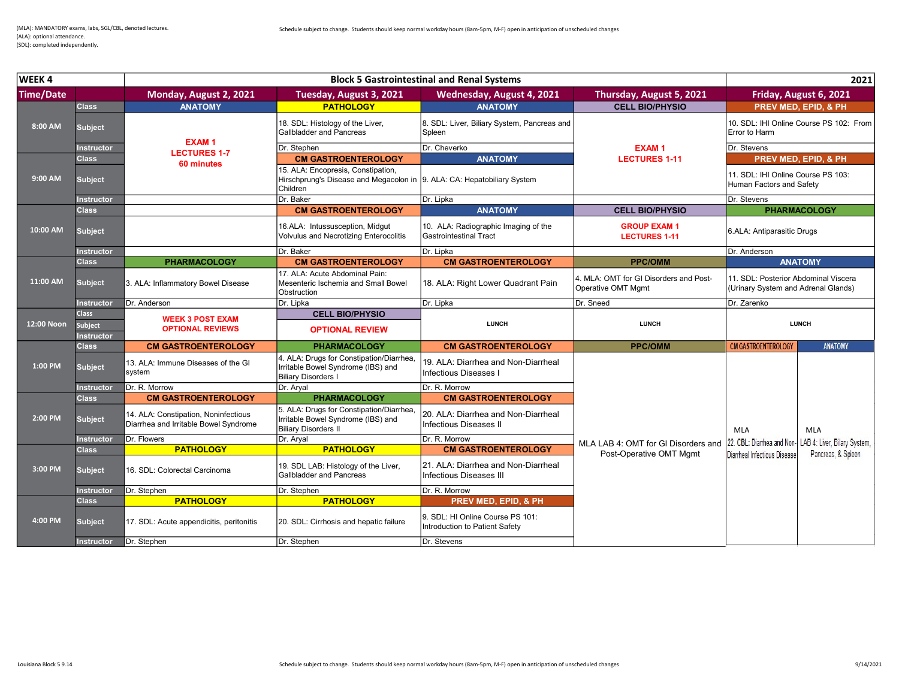| WEEK4            |                                              |                                                                               |                                                                                                                                   | <b>Block 5 Gastrointestinal and Renal Systems</b>                     |                                                              |                                                                             | 2021                                                    |
|------------------|----------------------------------------------|-------------------------------------------------------------------------------|-----------------------------------------------------------------------------------------------------------------------------------|-----------------------------------------------------------------------|--------------------------------------------------------------|-----------------------------------------------------------------------------|---------------------------------------------------------|
| <b>Time/Date</b> |                                              | Monday, August 2, 2021                                                        | Tuesday, August 3, 2021                                                                                                           | Wednesday, August 4, 2021                                             | Thursday, August 5, 2021                                     |                                                                             | Friday, August 6, 2021                                  |
|                  | <b>Class</b>                                 | <b>ANATOMY</b>                                                                | <b>PATHOLOGY</b>                                                                                                                  | <b>ANATOMY</b>                                                        | <b>CELL BIO/PHYSIO</b>                                       |                                                                             | PREV MED, EPID, & PH                                    |
| 8:00 AM          | <b>Subject</b>                               | <b>EXAM1</b>                                                                  | 18. SDL: Histology of the Liver,<br><b>Gallbladder and Pancreas</b>                                                               | 8. SDL: Liver, Biliary System, Pancreas and<br>Spleen                 |                                                              | Error to Harm                                                               | 10. SDL: IHI Online Course PS 102: From                 |
|                  | nstructor                                    | <b>LECTURES 1-7</b>                                                           | Dr. Stephen                                                                                                                       | Dr. Cheverko                                                          | <b>EXAM1</b>                                                 | Dr. Stevens                                                                 |                                                         |
|                  | <b>Class</b>                                 | 60 minutes                                                                    | <b>CM GASTROENTEROLOGY</b>                                                                                                        | <b>ANATOMY</b>                                                        | <b>LECTURES 1-11</b>                                         |                                                                             | <b>PREV MED. EPID. &amp; PH</b>                         |
| 9:00 AM          | <b>Subject</b>                               |                                                                               | 15. ALA: Encopresis, Constipation,<br>Hirschprung's Disease and Megacolon in  9. ALA: CA: Hepatobiliary System<br><b>Children</b> |                                                                       |                                                              | 11. SDL: IHI Online Course PS 103:<br>Human Factors and Safety              |                                                         |
|                  | Instructor                                   |                                                                               | Dr. Baker                                                                                                                         | Dr. Lipka                                                             |                                                              | Dr. Stevens                                                                 |                                                         |
|                  | <b>Class</b>                                 |                                                                               | <b>CM GASTROENTEROLOGY</b>                                                                                                        | <b>ANATOMY</b>                                                        | <b>CELL BIO/PHYSIO</b>                                       |                                                                             | <b>PHARMACOLOGY</b>                                     |
| 10:00 AM         | <b>Subject</b>                               |                                                                               | 16.ALA: Intussusception, Midqut<br>Volvulus and Necrotizing Enterocolitis                                                         | 10. ALA: Radiographic Imaging of the<br><b>Gastrointestinal Tract</b> | <b>GROUP EXAM1</b><br><b>LECTURES 1-11</b>                   | 6.ALA: Antiparasitic Drugs                                                  |                                                         |
|                  | <b>Instructor</b>                            |                                                                               | Dr. Baker                                                                                                                         | Dr. Lipka                                                             |                                                              | Dr. Anderson                                                                |                                                         |
|                  | <b>Class</b>                                 | <b>PHARMACOLOGY</b>                                                           | <b>CM GASTROENTEROLOGY</b>                                                                                                        | <b>CM GASTROENTEROLOGY</b>                                            | <b>PPC/OMM</b>                                               |                                                                             | <b>ANATOMY</b>                                          |
| 11:00 AM         | <b>Subject</b>                               | 3. ALA: Inflammatory Bowel Disease                                            | 17. ALA: Acute Abdominal Pain:<br>Mesenteric Ischemia and Small Bowel<br>Obstruction                                              | 18. ALA: Right Lower Quadrant Pain                                    | 4. MLA: OMT for GI Disorders and Post-<br>Operative OMT Mgmt | 11. SDL: Posterior Abdominal Viscera<br>(Urinary System and Adrenal Glands) |                                                         |
|                  | nstructor                                    | Dr. Anderson                                                                  | Dr. Lipka                                                                                                                         | Dr. Lipka                                                             | Dr. Sneed                                                    | Dr. Zarenko                                                                 |                                                         |
| 12:00 Noon       | <b>Class</b><br>Subject<br><b>Instructor</b> | <b>WEEK 3 POST EXAM</b><br><b>OPTIONAL REVIEWS</b>                            | <b>CELL BIO/PHYSIO</b><br><b>OPTIONAL REVIEW</b>                                                                                  | <b>LUNCH</b>                                                          | <b>LUNCH</b>                                                 |                                                                             | <b>LUNCH</b>                                            |
|                  | <b>Class</b>                                 | <b>CM GASTROENTEROLOGY</b>                                                    | <b>PHARMACOLOGY</b>                                                                                                               | <b>CM GASTROENTEROLOGY</b>                                            | <b>PPC/OMM</b>                                               | <b>CM GASTROENTEROLOGY</b>                                                  | <b>ANATOMY</b>                                          |
| 1:00 PM          | <b>Subject</b>                               | 13. ALA: Immune Diseases of the GI<br>system                                  | 4. ALA: Drugs for Constipation/Diarrhea.<br>Irritable Bowel Syndrome (IBS) and<br>Biliary Disorders I                             | 19. ALA: Diarrhea and Non-Diarrheal<br>Infectious Diseases I          |                                                              |                                                                             |                                                         |
|                  | <b>Instructor</b>                            | Dr. R. Morrow                                                                 | Dr. Aryal                                                                                                                         | Dr. R. Morrow                                                         |                                                              |                                                                             |                                                         |
|                  | <b>Class</b>                                 | <b>CM GASTROENTEROLOGY</b>                                                    | <b>PHARMACOLOGY</b>                                                                                                               | <b>CM GASTROENTEROLOGY</b>                                            |                                                              |                                                                             |                                                         |
| 2:00 PM          | <b>Subject</b>                               | 14. ALA: Constipation. Noninfectious<br>Diarrhea and Irritable Bowel Syndrome | 5. ALA: Drugs for Constipation/Diarrhea,<br>Irritable Bowel Syndrome (IBS) and<br>Biliary Disorders II                            | 20. ALA: Diarrhea and Non-Diarrheal<br>Infectious Diseases II         |                                                              | <b>MLA</b>                                                                  | <b>MLA</b>                                              |
|                  | nstructor                                    | Dr. Flowers                                                                   | Dr. Aryal                                                                                                                         | Dr. R. Morrow                                                         | MLA LAB 4: OMT for GI Disorders and                          |                                                                             | 22. CBL: Diarrhea and Non- LAB 4: Liver, Bilary System, |
|                  | <b>Class</b>                                 | <b>PATHOLOGY</b>                                                              | <b>PATHOLOGY</b>                                                                                                                  | <b>CM GASTROENTEROLOGY</b>                                            | Post-Operative OMT Mgmt                                      | Diarrheal Infectious Disease                                                | Pancreas, & Spleen                                      |
| 3:00 PM          | <b>Subject</b>                               | 16. SDL: Colorectal Carcinoma                                                 | 19. SDL LAB: Histology of the Liver,<br>Gallbladder and Pancreas                                                                  | 21. ALA: Diarrhea and Non-Diarrheal<br>Infectious Diseases III        |                                                              |                                                                             |                                                         |
|                  | nstructor                                    | Dr. Stephen                                                                   | Dr. Stephen                                                                                                                       | Dr. R. Morrow                                                         |                                                              |                                                                             |                                                         |
|                  | <b>Class</b>                                 | <b>PATHOLOGY</b>                                                              | <b>PATHOLOGY</b>                                                                                                                  | PREV MED, EPID, & PH                                                  |                                                              |                                                                             |                                                         |
| 4:00 PM          | <b>Subject</b>                               | 17. SDL: Acute appendicitis, peritonitis                                      | [20. SDL: Cirrhosis and hepatic failure]                                                                                          | 9. SDL: HI Online Course PS 101:<br>Introduction to Patient Safety    |                                                              |                                                                             |                                                         |
|                  | Instructor                                   | Dr. Stephen                                                                   | Dr. Stephen                                                                                                                       | Dr. Stevens                                                           |                                                              |                                                                             |                                                         |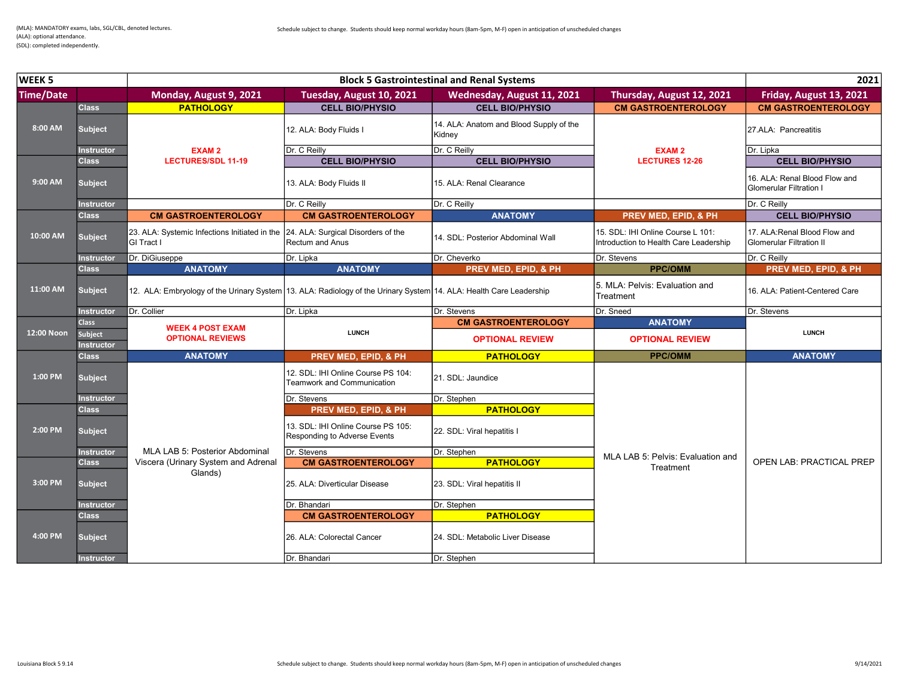| WEEK <sub>5</sub><br><b>Block 5 Gastrointestinal and Renal Systems</b> |                              |                                                                                                                    |                                                                    | 2021                                              |                                                                             |                                                                  |
|------------------------------------------------------------------------|------------------------------|--------------------------------------------------------------------------------------------------------------------|--------------------------------------------------------------------|---------------------------------------------------|-----------------------------------------------------------------------------|------------------------------------------------------------------|
| Time/Date                                                              |                              | Monday, August 9, 2021                                                                                             | Tuesday, August 10, 2021                                           | Wednesday, August 11, 2021                        | Thursday, August 12, 2021                                                   | Friday, August 13, 2021                                          |
|                                                                        | <b>Class</b>                 | <b>PATHOLOGY</b>                                                                                                   | <b>CELL BIO/PHYSIO</b>                                             | <b>CELL BIO/PHYSIO</b>                            | <b>CM GASTROENTEROLOGY</b>                                                  | <b>CM GASTROENTEROLOGY</b>                                       |
| 8:00 AM                                                                | <b>Subject</b>               |                                                                                                                    | 12. ALA: Body Fluids I                                             | 14. ALA: Anatom and Blood Supply of the<br>Kidney |                                                                             | 27.ALA: Pancreatitis                                             |
|                                                                        | <b>Instructor</b>            | <b>EXAM2</b>                                                                                                       | Dr. C Reilly                                                       | Dr. C Reilly                                      | <b>EXAM2</b>                                                                | Dr. Lipka                                                        |
|                                                                        | <b>Class</b>                 | <b>LECTURES/SDL 11-19</b>                                                                                          | <b>CELL BIO/PHYSIO</b>                                             | <b>CELL BIO/PHYSIO</b>                            | <b>LECTURES 12-26</b>                                                       | <b>CELL BIO/PHYSIO</b>                                           |
| 9:00 AM                                                                | <b>Subject</b>               |                                                                                                                    | 13. ALA: Body Fluids II                                            | 15. ALA: Renal Clearance                          |                                                                             | 16. ALA: Renal Blood Flow and<br><b>Glomerular Filtration I</b>  |
|                                                                        | <b>Instructor</b>            |                                                                                                                    | Dr. C Reilly                                                       | Dr. C Reilly                                      |                                                                             | Dr. C Reilly                                                     |
|                                                                        | <b>Class</b>                 | <b>CM GASTROENTEROLOGY</b>                                                                                         | <b>CM GASTROENTEROLOGY</b>                                         | <b>ANATOMY</b>                                    | PREV MED, EPID, & PH                                                        | <b>CELL BIO/PHYSIO</b>                                           |
| 10:00 AM                                                               | Subject,                     | 23. ALA: Systemic Infections Initiated in the 24. ALA: Surgical Disorders of the<br>GI Tract I                     | <b>Rectum and Anus</b>                                             | 14. SDL: Posterior Abdominal Wall                 | 15. SDL: IHI Online Course L 101:<br>Introduction to Health Care Leadership | 17. ALA: Renal Blood Flow and<br><b>Glomerular Filtration II</b> |
|                                                                        | Instructor                   | Dr. DiGiuseppe                                                                                                     | Dr. Lipka                                                          | Dr. Cheverko                                      | Dr. Stevens                                                                 | Dr. C Reilly                                                     |
|                                                                        | <b>Class</b>                 | <b>ANATOMY</b>                                                                                                     | <b>ANATOMY</b>                                                     | PREV MED, EPID, & PH                              | <b>PPC/OMM</b>                                                              | PREV MED, EPID, & PH                                             |
| 11:00 AM                                                               | <b>Subject</b>               | 12. ALA: Embryology of the Urinary System 13. ALA: Radiology of the Urinary System 14. ALA: Health Care Leadership |                                                                    |                                                   | 5. MLA: Pelvis: Evaluation and<br>Treatment                                 | 16. ALA: Patient-Centered Care                                   |
|                                                                        | Instructor                   | Dr. Collier                                                                                                        | Dr. Lipka                                                          | Dr. Stevens                                       | Dr. Sneed                                                                   | Dr. Stevens                                                      |
|                                                                        |                              |                                                                                                                    |                                                                    |                                                   |                                                                             |                                                                  |
|                                                                        | <b>Class</b>                 |                                                                                                                    |                                                                    | <b>CM GASTROENTEROLOGY</b>                        | <b>ANATOMY</b>                                                              |                                                                  |
| 12:00 Noon                                                             | Subject<br><b>Instructor</b> | <b>WEEK 4 POST EXAM</b><br><b>OPTIONAL REVIEWS</b>                                                                 | <b>LUNCH</b>                                                       | <b>OPTIONAL REVIEW</b>                            | <b>OPTIONAL REVIEW</b>                                                      | <b>LUNCH</b>                                                     |
|                                                                        | <b>Class</b>                 | <b>ANATOMY</b>                                                                                                     | <b>PREV MED, EPID, &amp; PH</b>                                    | <b>PATHOLOGY</b>                                  | <b>PPC/OMM</b>                                                              | <b>ANATOMY</b>                                                   |
| 1:00 PM                                                                | <b>Subject</b>               |                                                                                                                    | 12. SDL: IHI Online Course PS 104:<br>Teamwork and Communication   | 21. SDL: Jaundice                                 |                                                                             |                                                                  |
|                                                                        | Instructor                   |                                                                                                                    | Dr. Stevens                                                        | Dr. Stephen                                       |                                                                             |                                                                  |
|                                                                        | <b>Class</b>                 |                                                                                                                    | PREV MED, EPID, & PH                                               | <b>PATHOLOGY</b>                                  |                                                                             |                                                                  |
| 2:00 PM                                                                | <b>Subject</b>               |                                                                                                                    | 13. SDL: IHI Online Course PS 105:<br>Responding to Adverse Events | 22. SDL: Viral hepatitis I                        |                                                                             |                                                                  |
|                                                                        | <b>Instructor</b>            | MLA LAB 5: Posterior Abdominal                                                                                     | Dr. Stevens                                                        | Dr. Stephen                                       |                                                                             |                                                                  |
|                                                                        | <b>Class</b>                 | Viscera (Urinary System and Adrenal                                                                                | <b>CM GASTROENTEROLOGY</b>                                         | <b>PATHOLOGY</b>                                  | MLA LAB 5: Pelvis: Evaluation and                                           | <b>OPEN LAB: PRACTICAL PREP</b>                                  |
| 3:00 PM                                                                | <b>Subject</b>               | Glands)                                                                                                            | 25. ALA: Diverticular Disease                                      | 23. SDL: Viral hepatitis II                       | Treatment                                                                   |                                                                  |
|                                                                        | nstructor                    |                                                                                                                    | Dr. Bhandari                                                       | Dr. Stephen                                       |                                                                             |                                                                  |
|                                                                        | <b>Class</b>                 |                                                                                                                    | <b>CM GASTROENTEROLOGY</b>                                         | <b>PATHOLOGY</b>                                  |                                                                             |                                                                  |
| 4:00 PM                                                                | <b>Subject</b>               |                                                                                                                    | 26. ALA: Colorectal Cancer                                         | 24. SDL: Metabolic Liver Disease                  |                                                                             |                                                                  |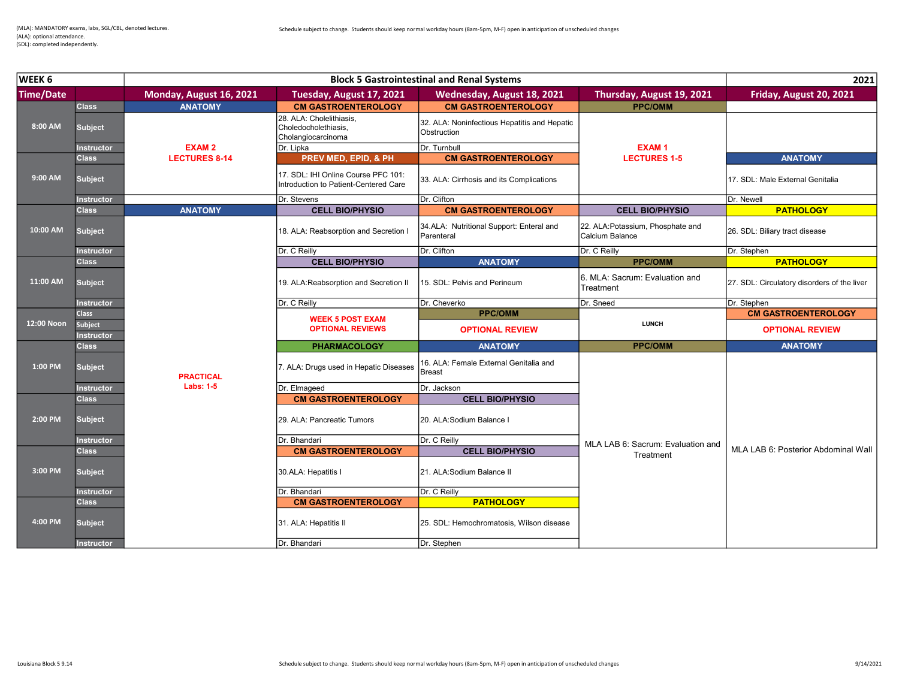| WEEK 6           | <b>Block 5 Gastrointestinal and Renal Systems</b> |                         |                                                                              |                                                             | 2021                                                 |                                             |
|------------------|---------------------------------------------------|-------------------------|------------------------------------------------------------------------------|-------------------------------------------------------------|------------------------------------------------------|---------------------------------------------|
| <b>Time/Date</b> |                                                   | Monday, August 16, 2021 | Tuesday, August 17, 2021                                                     | Wednesday, August 18, 2021                                  | Thursday, August 19, 2021                            | Friday, August 20, 2021                     |
|                  | <b>Class</b>                                      | <b>ANATOMY</b>          | <b>CM GASTROENTEROLOGY</b>                                                   | <b>CM GASTROENTEROLOGY</b>                                  | <b>PPC/OMM</b>                                       |                                             |
| 8:00 AM          | <b>Subject</b>                                    |                         | 28. ALA: Cholelithiasis.<br>Choledocholethiasis,<br>Cholangiocarcinoma       | 32. ALA: Noninfectious Hepatitis and Hepatic<br>Obstruction |                                                      |                                             |
|                  | <b>Instructor</b>                                 | <b>EXAM2</b>            | Dr. Lipka                                                                    | Dr. Turnbull                                                | <b>EXAM1</b>                                         |                                             |
|                  | <b>Class</b>                                      | <b>LECTURES 8-14</b>    | <b>PREV MED, EPID, &amp; PH</b>                                              | <b>CM GASTROENTEROLOGY</b>                                  | <b>LECTURES 1-5</b>                                  | <b>ANATOMY</b>                              |
| 9:00 AM          | <b>Subject</b>                                    |                         | 17. SDL: IHI Online Course PFC 101:<br>Introduction to Patient-Centered Care | 33. ALA: Cirrhosis and its Complications                    |                                                      | 17. SDL: Male External Genitalia            |
|                  | Instructor                                        |                         | Dr. Stevens                                                                  | Dr. Clifton                                                 |                                                      | Dr. Newell                                  |
|                  | <b>Class</b>                                      | <b>ANATOMY</b>          | <b>CELL BIO/PHYSIO</b>                                                       | <b>CM GASTROENTEROLOGY</b>                                  | <b>CELL BIO/PHYSIO</b>                               | <b>PATHOLOGY</b>                            |
| 10:00 AM         | <b>Subject</b>                                    |                         | 18. ALA: Reabsorption and Secretion I                                        | 34.ALA: Nutritional Support: Enteral and<br>Parenteral      | 22. ALA: Potassium, Phosphate and<br>Calcium Balance | 26. SDL: Biliary tract disease              |
|                  | Instructor                                        |                         | Dr. C Reilly                                                                 | Dr. Clifton                                                 | Dr. C Reilly                                         | Dr. Stephen                                 |
|                  | <b>Class</b>                                      |                         | <b>CELL BIO/PHYSIO</b>                                                       | <b>ANATOMY</b>                                              | <b>PPC/OMM</b>                                       | <b>PATHOLOGY</b>                            |
| 11:00 AM         | <b>Subject</b>                                    |                         | 19. ALA: Reabsorption and Secretion II                                       | 15. SDL: Pelvis and Perineum                                | 6. MLA: Sacrum: Evaluation and<br>Treatment          | 27. SDL: Circulatory disorders of the liver |
|                  | <b>Instructor</b>                                 |                         | Dr. C Reilly                                                                 | Dr. Cheverko                                                | Dr. Sneed                                            | Dr. Stephen                                 |
|                  | <b>Class</b>                                      |                         | <b>WEEK 5 POST EXAM</b>                                                      | <b>PPC/OMM</b>                                              |                                                      | <b>CM GASTROENTEROLOGY</b>                  |
| 12:00 Noon       | <b>Subject</b>                                    |                         | <b>OPTIONAL REVIEWS</b>                                                      | <b>OPTIONAL REVIEW</b>                                      | <b>LUNCH</b>                                         | <b>OPTIONAL REVIEW</b>                      |
|                  | <b>Instructor</b>                                 |                         |                                                                              |                                                             |                                                      |                                             |
|                  | <b>Class</b>                                      |                         | <b>PHARMACOLOGY</b>                                                          | <b>ANATOMY</b>                                              | <b>PPC/OMM</b>                                       | <b>ANATOMY</b>                              |
| 1:00 PM          | <b>Subject</b>                                    | <b>PRACTICAL</b>        | 7. ALA: Drugs used in Hepatic Diseases                                       | 16. ALA: Female External Genitalia and<br><b>Breast</b>     |                                                      |                                             |
|                  | <b>Instructor</b>                                 | <b>Labs: 1-5</b>        | Dr. Elmageed                                                                 | Dr. Jackson                                                 |                                                      |                                             |
|                  | <b>Class</b>                                      |                         | <b>CM GASTROENTEROLOGY</b>                                                   | <b>CELL BIO/PHYSIO</b>                                      |                                                      |                                             |
| 2:00 PM          | <b>Subject</b>                                    |                         | 29. ALA: Pancreatic Tumors                                                   | 20. ALA:Sodium Balance I                                    |                                                      |                                             |
|                  | Instructor                                        |                         | Dr. Bhandari                                                                 | Dr. C Reilly                                                |                                                      |                                             |
|                  | <b>Class</b>                                      |                         | <b>CM GASTROENTEROLOGY</b>                                                   | <b>CELL BIO/PHYSIO</b>                                      | MLA LAB 6: Sacrum: Evaluation and                    | MLA LAB 6: Posterior Abdominal Wall         |
| 3:00 PM          | <b>Subject</b>                                    |                         | 30.ALA: Hepatitis I                                                          | 21. ALA:Sodium Balance II                                   | Treatment                                            |                                             |
|                  | <b>Instructor</b>                                 |                         | Dr. Bhandari                                                                 | Dr. C Reilly                                                |                                                      |                                             |
|                  | <b>Class</b>                                      |                         | <b>CM GASTROENTEROLOGY</b>                                                   | <b>PATHOLOGY</b>                                            |                                                      |                                             |
| 4:00 PM          | <b>Subject</b>                                    |                         | 31. ALA: Hepatitis II                                                        | 25. SDL: Hemochromatosis, Wilson disease                    |                                                      |                                             |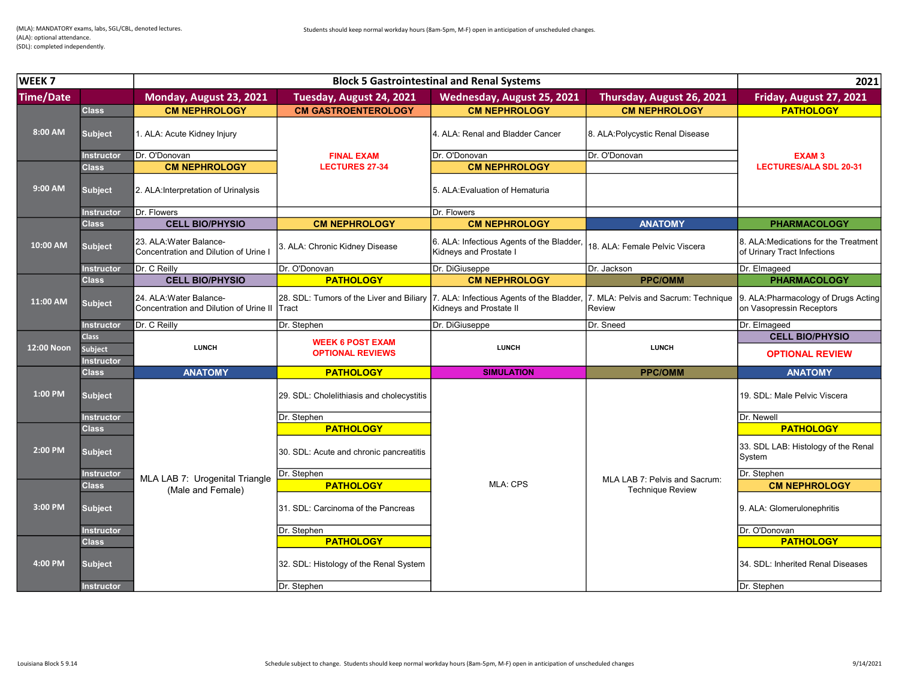| WEEK <sub>7</sub> | <b>Block 5 Gastrointestinal and Renal Systems</b> |                                                                   |                                                   |                                                                      |                                                | 2021                                                                 |
|-------------------|---------------------------------------------------|-------------------------------------------------------------------|---------------------------------------------------|----------------------------------------------------------------------|------------------------------------------------|----------------------------------------------------------------------|
| Time/Date         |                                                   | Monday, August 23, 2021                                           | Tuesday, August 24, 2021                          | Wednesday, August 25, 2021                                           | Thursday, August 26, 2021                      | Friday, August 27, 2021                                              |
|                   | <b>Class</b>                                      | <b>CM NEPHROLOGY</b>                                              | <b>CM GASTROENTEROLOGY</b>                        | <b>CM NEPHROLOGY</b>                                                 | <b>CM NEPHROLOGY</b>                           | <b>PATHOLOGY</b>                                                     |
| 8:00 AM           | <b>Subject</b>                                    | 1. ALA: Acute Kidney Injury                                       |                                                   | 4. ALA: Renal and Bladder Cancer                                     | 8. ALA: Polycystic Renal Disease               |                                                                      |
|                   | <b>Instructor</b>                                 | Dr. O'Donovan                                                     | <b>FINAL EXAM</b>                                 | Dr. O'Donovan                                                        | Dr. O'Donovan                                  | <b>EXAM3</b>                                                         |
|                   | <b>Class</b>                                      | <b>CM NEPHROLOGY</b>                                              | <b>LECTURES 27-34</b>                             | <b>CM NEPHROLOGY</b>                                                 |                                                | <b>LECTURES/ALA SDL 20-31</b>                                        |
| 9:00 AM           | <b>Subject</b>                                    | 2. ALA:Interpretation of Urinalysis                               |                                                   | 5. ALA: Evaluation of Hematuria                                      |                                                |                                                                      |
|                   | <b>Instructor</b>                                 | <b>IDr. Flowers</b>                                               |                                                   | Dr. Flowers                                                          |                                                |                                                                      |
|                   | <b>Class</b>                                      | <b>CELL BIO/PHYSIO</b>                                            | <b>CM NEPHROLOGY</b>                              | <b>CM NEPHROLOGY</b>                                                 | <b>ANATOMY</b>                                 | <b>PHARMACOLOGY</b>                                                  |
| 10:00 AM          | <b>Subject</b>                                    | 23. ALA: Water Balance-<br>Concentration and Dilution of Urine I  | 3. ALA: Chronic Kidney Disease                    | 6. ALA: Infectious Agents of the Bladder,<br>Kidneys and Prostate I  | 18. ALA: Female Pelvic Viscera                 | 8. ALA: Medications for the Treatment<br>of Urinary Tract Infections |
|                   | <b>Instructor</b>                                 | Dr. C Reilly                                                      | Dr. O'Donovan                                     | Dr. DiGiuseppe                                                       | Dr. Jackson                                    | Dr. Elmageed                                                         |
|                   | <b>Class</b>                                      | <b>CELL BIO/PHYSIO</b>                                            | <b>PATHOLOGY</b>                                  | <b>CM NEPHROLOGY</b>                                                 | <b>PPC/OMM</b>                                 | <b>PHARMACOLOGY</b>                                                  |
| 11:00 AM          | <b>Subject</b>                                    | 24. ALA: Water Balance-<br>Concentration and Dilution of Urine II | 28. SDL: Tumors of the Liver and Biliary<br>Tract | 7. ALA: Infectious Agents of the Bladder,<br>Kidneys and Prostate II | 7. MLA: Pelvis and Sacrum: Technique<br>Review | 9. ALA: Pharmacology of Drugs Acting<br>on Vasopressin Receptors     |
|                   | <b>Instructor</b>                                 | Dr. C Reilly                                                      | Dr. Stephen                                       | Dr. DiGiuseppe                                                       | Dr. Sneed                                      | Dr. Elmageed                                                         |
|                   | <b>Class</b>                                      |                                                                   | <b>WEEK 6 POST EXAM</b>                           |                                                                      |                                                | <b>CELL BIO/PHYSIO</b>                                               |
| 12:00 Noon        | <b>Subject</b><br><b>Instructor</b>               | <b>LUNCH</b>                                                      | <b>OPTIONAL REVIEWS</b>                           | <b>LUNCH</b>                                                         | <b>LUNCH</b>                                   | <b>OPTIONAL REVIEW</b>                                               |
|                   | <b>Class</b>                                      | <b>ANATOMY</b>                                                    | <b>PATHOLOGY</b>                                  | <b>SIMULATION</b>                                                    | <b>PPC/OMM</b>                                 | <b>ANATOMY</b>                                                       |
| 1:00 PM           | <b>Subject</b>                                    |                                                                   | 29. SDL: Cholelithiasis and cholecystitis         |                                                                      |                                                | 19. SDL: Male Pelvic Viscera                                         |
|                   | <b>Instructor</b>                                 |                                                                   | Dr. Stephen                                       |                                                                      |                                                | Dr. Newell                                                           |
|                   | <b>Class</b>                                      |                                                                   | <b>PATHOLOGY</b>                                  |                                                                      |                                                | <b>PATHOLOGY</b>                                                     |
| 2:00 PM           | <b>Subject</b>                                    |                                                                   | 30. SDL: Acute and chronic pancreatitis           |                                                                      |                                                | 33. SDL LAB: Histology of the Renal<br>System                        |
|                   | <b>Instructor</b>                                 | MLA LAB 7: Urogenital Triangle                                    | Dr. Stephen                                       |                                                                      | MLA LAB 7: Pelvis and Sacrum:                  | Dr. Stephen                                                          |
|                   | <b>Class</b>                                      |                                                                   | <b>PATHOLOGY</b>                                  | <b>MLA: CPS</b>                                                      | <b>Technique Review</b>                        | <b>CM NEPHROLOGY</b>                                                 |
| 3:00 PM           | <b>Subject</b>                                    | (Male and Female)                                                 | 31. SDL: Carcinoma of the Pancreas                |                                                                      |                                                | 9. ALA: Glomerulonephritis                                           |
|                   | Instructor                                        |                                                                   | Dr. Stephen                                       |                                                                      |                                                | Dr. O'Donovan                                                        |
|                   | <b>Class</b>                                      |                                                                   | <b>PATHOLOGY</b>                                  |                                                                      |                                                | <b>PATHOLOGY</b>                                                     |
| 4:00 PM           | <b>Subject</b>                                    |                                                                   | 32. SDL: Histology of the Renal System            |                                                                      |                                                | 34. SDL: Inherited Renal Diseases                                    |
|                   | Instructor                                        |                                                                   | Dr. Stephen                                       |                                                                      |                                                | Dr. Stephen                                                          |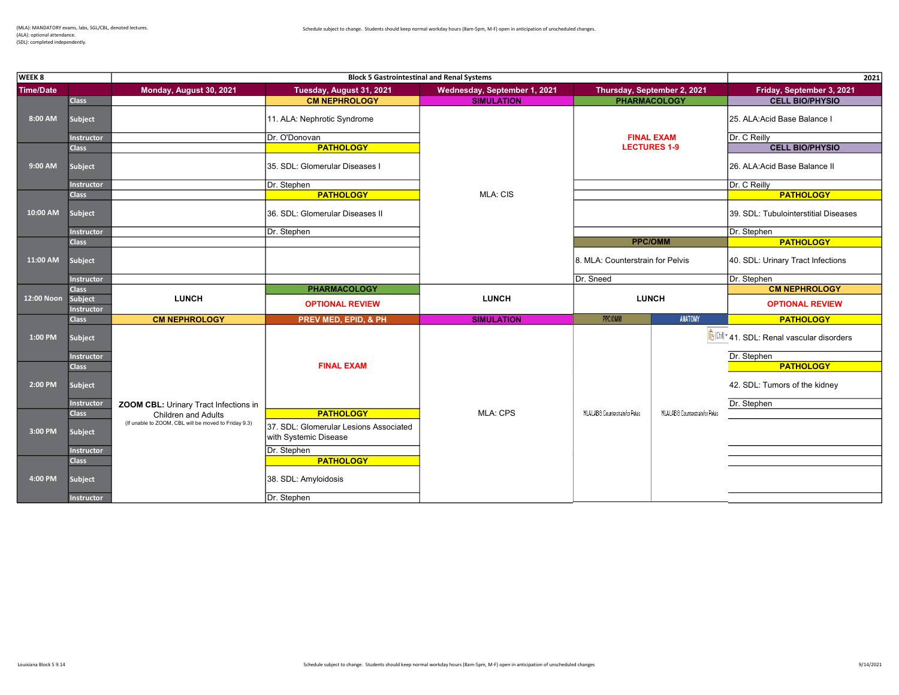(ALA): optional attendance. (SDL): completed independently.

| WEEK 8           |                                     |                                                      | <b>Block 5 Gastrointestinal and Renal Systems</b> |                              |                                                    |                                    | 2021                                                                              |
|------------------|-------------------------------------|------------------------------------------------------|---------------------------------------------------|------------------------------|----------------------------------------------------|------------------------------------|-----------------------------------------------------------------------------------|
| <b>Time/Date</b> |                                     | Monday, August 30, 2021                              | Tuesday, August 31, 2021                          | Wednesday, September 1, 2021 |                                                    | Thursday, September 2, 2021        | Friday, September 3, 2021                                                         |
|                  | <b>Class</b>                        |                                                      | <b>CM NEPHROLOGY</b>                              | <b>SIMULATION</b>            | <b>PHARMACOLOGY</b>                                |                                    | <b>CELL BIO/PHYSIO</b>                                                            |
| 8:00 AM          | <b>Subject</b>                      |                                                      | 11. ALA: Nephrotic Syndrome                       |                              |                                                    |                                    | 25. ALA:Acid Base Balance I                                                       |
|                  | <b>Instructor</b>                   |                                                      | Dr. O'Donovan                                     |                              | <b>FINAL EXAM</b>                                  |                                    | Dr. C Reilly                                                                      |
|                  | <b>Class</b>                        |                                                      | <b>PATHOLOGY</b>                                  |                              | <b>LECTURES 1-9</b>                                |                                    | <b>CELL BIO/PHYSIO</b>                                                            |
| 9:00 AM          | Subject                             |                                                      | 35. SDL: Glomerular Diseases I                    |                              |                                                    |                                    | 26. ALA:Acid Base Balance II                                                      |
|                  | <b>Instructor</b>                   |                                                      | Dr. Stephen                                       |                              |                                                    |                                    | Dr. C Reilly                                                                      |
|                  | <b>Class</b>                        |                                                      | <b>PATHOLOGY</b>                                  | <b>MLA: CIS</b>              |                                                    |                                    | <b>PATHOLOGY</b>                                                                  |
| 10:00 AM         | <b>Subject</b>                      |                                                      | 36. SDL: Glomerular Diseases II                   |                              |                                                    |                                    | 39. SDL: Tubulointerstitial Diseases                                              |
|                  | <b>Instructor</b>                   |                                                      | Dr. Stephen                                       |                              |                                                    |                                    | Dr. Stephen                                                                       |
|                  | <b>Class</b>                        |                                                      |                                                   |                              | <b>PPC/OMM</b><br>8. MLA: Counterstrain for Pelvis |                                    | <b>PATHOLOGY</b>                                                                  |
| 11:00 AM         | Subject                             |                                                      |                                                   |                              |                                                    |                                    | 40. SDL: Urinary Tract Infections                                                 |
|                  | <b>Instructor</b>                   |                                                      |                                                   |                              | Dr. Sneed                                          |                                    | Dr. Stephen                                                                       |
|                  | <b>Class</b>                        |                                                      | <b>PHARMACOLOGY</b>                               |                              |                                                    |                                    | <b>CM NEPHROLOGY</b>                                                              |
| 12:00 Noon       | <b>Subject</b><br><b>Instructor</b> | <b>LUNCH</b>                                         | <b>OPTIONAL REVIEW</b>                            | <b>LUNCH</b>                 | <b>LUNCH</b>                                       |                                    | <b>OPTIONAL REVIEW</b>                                                            |
|                  | <b>Class</b>                        | <b>CM NEPHROLOGY</b>                                 | PREV MED, EPID, & PH                              | <b>SIMULATION</b>            | PPC/OMM                                            | ANATOMY                            | <b>PATHOLOGY</b>                                                                  |
| 1:00 PM          | Subject                             |                                                      |                                                   |                              |                                                    |                                    | $\left \hat{\mathbf{f}}\right ^{(\text{tr})^*}$ 41. SDL: Renal vascular disorders |
|                  | <b>Instructor</b>                   |                                                      |                                                   |                              |                                                    |                                    | Dr. Stephen                                                                       |
|                  | <b>Class</b>                        |                                                      | <b>FINAL EXAM</b>                                 |                              |                                                    |                                    | <b>PATHOLOGY</b>                                                                  |
| 2:00 PM          | Subject                             |                                                      |                                                   |                              |                                                    |                                    | 42. SDL: Tumors of the kidney                                                     |
|                  | Instructor                          | <b>ZOOM CBL: Urinary Tract Infections in</b>         |                                                   |                              |                                                    |                                    | Dr. Stephen                                                                       |
|                  | <b>Class</b>                        | <b>Children and Adults</b>                           | <b>PATHOLOGY</b>                                  | <b>MLA: CPS</b>              | MLALAB & Counterstrain for Pelvis                  | MLALAB 8: Counterstrain for Pelvis |                                                                                   |
| 3:00 PM          |                                     | (If unable to ZOOM, CBL will be moved to Friday 9.3) | 37. SDL: Glomerular Lesions Associated            |                              |                                                    |                                    |                                                                                   |
|                  | Subject                             |                                                      | with Systemic Disease                             |                              |                                                    |                                    |                                                                                   |
|                  | <b>Instructor</b>                   |                                                      | Dr. Stephen                                       |                              |                                                    |                                    |                                                                                   |
|                  | <b>Class</b>                        |                                                      | <b>PATHOLOGY</b>                                  |                              |                                                    |                                    |                                                                                   |
|                  |                                     |                                                      |                                                   |                              |                                                    |                                    |                                                                                   |
| 4:00 PM          | Subject                             |                                                      | 38. SDL: Amyloidosis                              |                              |                                                    |                                    |                                                                                   |
|                  | <b>Instructor</b>                   |                                                      | Dr. Stephen                                       |                              |                                                    |                                    |                                                                                   |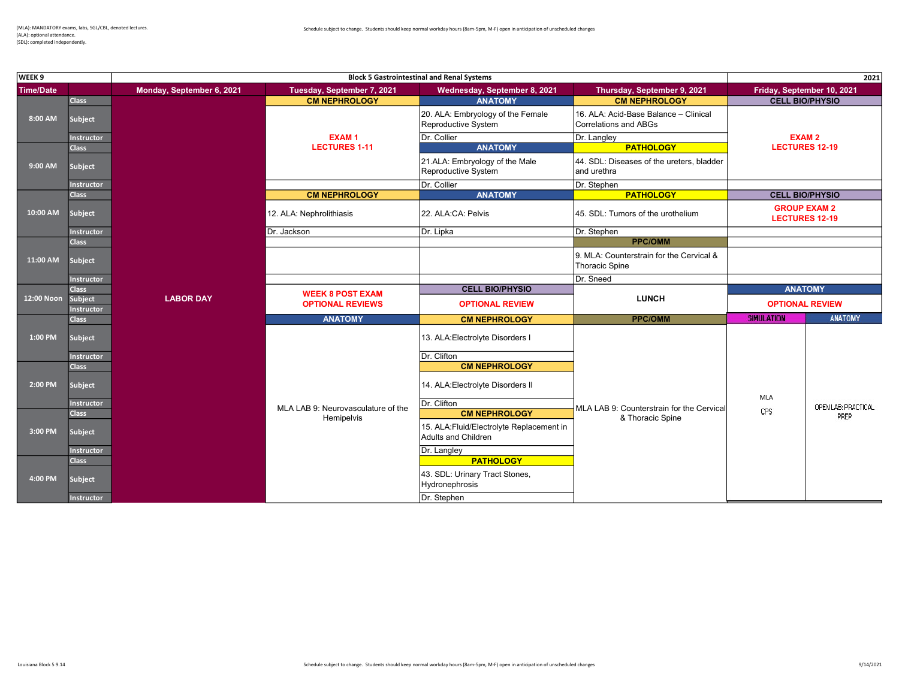(ALA): optional attendance. (SDL): completed independently.

| WEEK <sub>9</sub>  |                   |                           |                                    | <b>Block 5 Gastrointestinal and Renal Systems</b>                |                                                                |                        | 2021                                         |
|--------------------|-------------------|---------------------------|------------------------------------|------------------------------------------------------------------|----------------------------------------------------------------|------------------------|----------------------------------------------|
| <b>Time/Date</b>   |                   | Monday, September 6, 2021 | Tuesday, September 7, 2021         | Wednesday, September 8, 2021                                     | Thursday, September 9, 2021                                    |                        | Friday, September 10, 2021                   |
|                    | <b>Class</b>      |                           | <b>CM NEPHROLOGY</b>               | <b>ANATOMY</b>                                                   | <b>CM NEPHROLOGY</b>                                           |                        | <b>CELL BIO/PHYSIO</b>                       |
| 8:00 AM            | Subject           |                           |                                    | 20. ALA: Embryology of the Female<br>Reproductive System         | 16. ALA: Acid-Base Balance - Clinical<br>Correlations and ABGs |                        |                                              |
|                    | <b>Instructor</b> |                           | <b>EXAM1</b>                       | Dr. Collier                                                      | Dr. Langley                                                    |                        | <b>EXAM2</b>                                 |
|                    | <b>Class</b>      |                           | <b>LECTURES 1-11</b>               | <b>ANATOMY</b>                                                   | <b>PATHOLOGY</b>                                               |                        | <b>LECTURES 12-19</b>                        |
| 9:00 AM            | Subject           |                           |                                    | 21.ALA: Embryology of the Male<br>Reproductive System            | 44. SDL: Diseases of the ureters, bladder<br>and urethra       |                        |                                              |
|                    | <b>Instructor</b> |                           |                                    | Dr. Collier                                                      | Dr. Stephen                                                    |                        |                                              |
|                    | <b>Class</b>      |                           | <b>CM NEPHROLOGY</b>               | <b>ANATOMY</b>                                                   | <b>PATHOLOGY</b>                                               | <b>CELL BIO/PHYSIO</b> |                                              |
| 10:00 AM           | Subject           |                           | 12. ALA: Nephrolithiasis           | 22. ALA:CA: Pelvis                                               | 45. SDL: Tumors of the urothelium                              |                        | <b>GROUP EXAM 2</b><br><b>LECTURES 12-19</b> |
|                    | <b>Instructor</b> |                           | Dr. Jackson                        | Dr. Lipka                                                        | Dr. Stephen                                                    |                        |                                              |
|                    | <b>Class</b>      |                           |                                    |                                                                  | <b>PPC/OMM</b>                                                 |                        |                                              |
| 11:00 AM           | Subject           |                           |                                    |                                                                  | 9. MLA: Counterstrain for the Cervical &<br>Thoracic Spine     |                        |                                              |
|                    | <b>Instructor</b> |                           |                                    |                                                                  | Dr. Sneed                                                      |                        |                                              |
|                    | <b>Class</b>      |                           | <b>WEEK 8 POST EXAM</b>            | <b>CELL BIO/PHYSIO</b>                                           |                                                                |                        | <b>ANATOMY</b>                               |
| 12:00 Noon Subject | <b>Instructor</b> | <b>LABOR DAY</b>          | <b>OPTIONAL REVIEWS</b>            | <b>OPTIONAL REVIEW</b>                                           | <b>LUNCH</b>                                                   |                        | <b>OPTIONAL REVIEW</b>                       |
|                    | <b>Class</b>      |                           | <b>ANATOMY</b>                     | <b>CM NEPHROLOGY</b>                                             | <b>PPC/OMM</b>                                                 | <b>SIMULATION</b>      | <b>ANATOMY</b>                               |
| 1:00 PM            | Subject           |                           |                                    | 13. ALA: Electrolyte Disorders I                                 |                                                                |                        |                                              |
|                    | <b>Instructor</b> |                           |                                    | Dr. Clifton                                                      |                                                                |                        |                                              |
|                    | <b>Class</b>      |                           |                                    | <b>CM NEPHROLOGY</b>                                             |                                                                |                        |                                              |
| 2:00 PM            | Subject           |                           |                                    | 14. ALA: Electrolyte Disorders II                                |                                                                |                        |                                              |
|                    | <b>Instructor</b> |                           | MLA LAB 9: Neurovasculature of the | Dr. Clifton                                                      | MLA LAB 9: Counterstrain for the Cervical                      | MLA                    | OPEN LAB: PRACTICAL                          |
|                    | <b>Class</b>      |                           | Hemipelvis                         | <b>CM NEPHROLOGY</b>                                             | & Thoracic Spine                                               | CPS                    | PREP                                         |
| 3:00 PM            | Subject           |                           |                                    | 15. ALA: Fluid/Electrolyte Replacement in<br>Adults and Children |                                                                |                        |                                              |
|                    | <b>Instructor</b> |                           |                                    | Dr. Langley                                                      |                                                                |                        |                                              |
|                    | <b>Class</b>      |                           |                                    | <b>PATHOLOGY</b>                                                 |                                                                |                        |                                              |
| 4:00 PM            | Subject           |                           |                                    | 43. SDL: Urinary Tract Stones,<br>Hydronephrosis                 |                                                                |                        |                                              |
|                    | <b>Instructor</b> |                           |                                    | Dr. Stephen                                                      |                                                                |                        |                                              |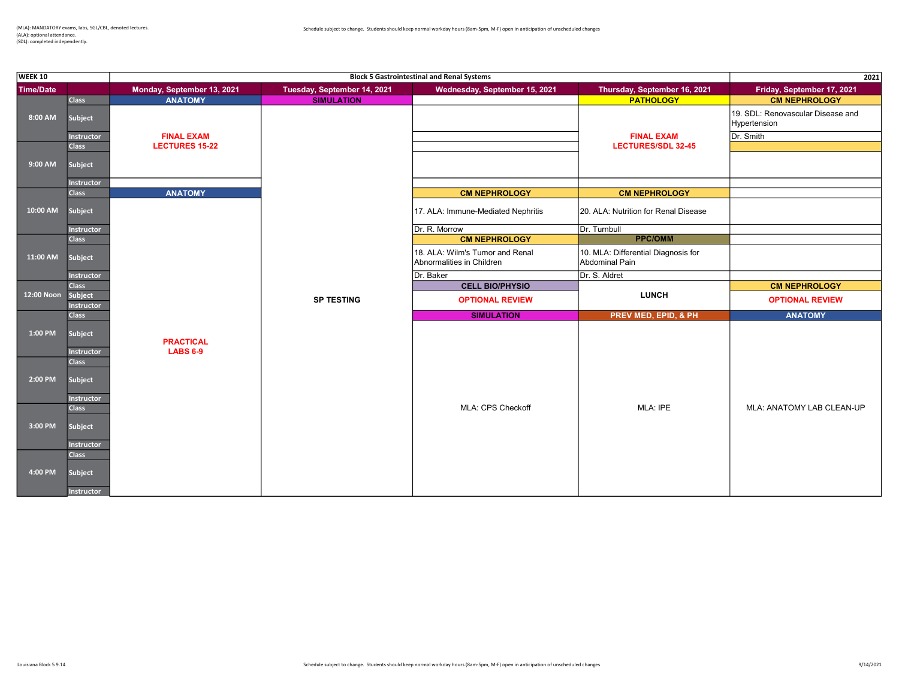| <b>WEEK 10</b>   |                       |                            |                             | <b>Block 5 Gastrointestinal and Renal Systems</b>            |                                                       | 2021                                              |
|------------------|-----------------------|----------------------------|-----------------------------|--------------------------------------------------------------|-------------------------------------------------------|---------------------------------------------------|
| <b>Time/Date</b> |                       | Monday, September 13, 2021 | Tuesday, September 14, 2021 | Wednesday, September 15, 2021                                | Thursday, September 16, 2021                          | Friday, September 17, 2021                        |
|                  | <b>Class</b>          | <b>ANATOMY</b>             | <b>SIMULATION</b>           |                                                              | <b>PATHOLOGY</b>                                      | <b>CM NEPHROLOGY</b>                              |
| 8:00 AM          | <b>Subject</b>        |                            |                             |                                                              |                                                       | 19. SDL: Renovascular Disease and<br>Hypertension |
|                  | <b>Instructor</b>     | <b>FINAL EXAM</b>          |                             |                                                              | <b>FINAL EXAM</b>                                     | Dr. Smith                                         |
|                  | <b>Class</b>          | <b>LECTURES 15-22</b>      |                             |                                                              | <b>LECTURES/SDL 32-45</b>                             |                                                   |
| 9:00 AM          | <b>Subject</b>        |                            |                             |                                                              |                                                       |                                                   |
|                  | Instructor            |                            |                             |                                                              |                                                       |                                                   |
|                  | <b>Class</b>          | <b>ANATOMY</b>             |                             | <b>CM NEPHROLOGY</b>                                         | <b>CM NEPHROLOGY</b>                                  |                                                   |
| 10:00 AM         | Subject               |                            |                             | 17. ALA: Immune-Mediated Nephritis                           | 20. ALA: Nutrition for Renal Disease                  |                                                   |
| Instructor       |                       |                            | Dr. R. Morrow               | Dr. Turnbull                                                 |                                                       |                                                   |
|                  | <b>Class</b>          |                            |                             | <b>CM NEPHROLOGY</b>                                         | <b>PPC/OMM</b>                                        |                                                   |
| 11:00 AM         | Subject               |                            |                             | 18. ALA: Wilm's Tumor and Renal<br>Abnormalities in Children | 10. MLA: Differential Diagnosis for<br>Abdominal Pain |                                                   |
|                  | <b>Instructor</b>     |                            |                             | Dr. Baker                                                    | Dr. S. Aldret                                         |                                                   |
|                  | <b>Class</b>          |                            |                             | <b>CELL BIO/PHYSIO</b>                                       |                                                       | <b>CM NEPHROLOGY</b>                              |
| 12:00 Noon       | Subject<br>Instructor |                            | <b>SP TESTING</b>           | <b>OPTIONAL REVIEW</b>                                       | <b>LUNCH</b>                                          | <b>OPTIONAL REVIEW</b>                            |
|                  | <b>Class</b>          |                            |                             | <b>SIMULATION</b>                                            | PREV MED, EPID, & PH                                  | <b>ANATOMY</b>                                    |
| 1:00 PM          | Subject               | <b>PRACTICAL</b>           |                             |                                                              |                                                       |                                                   |
|                  | Instructor            | <b>LABS 6-9</b>            |                             |                                                              |                                                       |                                                   |
|                  | <b>Class</b>          |                            |                             |                                                              |                                                       |                                                   |
| 2:00 PM          | Subject               |                            |                             |                                                              |                                                       |                                                   |
|                  |                       |                            |                             |                                                              |                                                       |                                                   |
|                  | Instructor            |                            |                             |                                                              |                                                       |                                                   |
|                  | <b>Class</b>          |                            |                             | MLA: CPS Checkoff                                            | MLA: IPE                                              | MLA: ANATOMY LAB CLEAN-UP                         |
| 3:00 PM          | Subject               |                            |                             |                                                              |                                                       |                                                   |
|                  | <b>Instructor</b>     |                            |                             |                                                              |                                                       |                                                   |
|                  | <b>Class</b>          |                            |                             |                                                              |                                                       |                                                   |
| 4:00 PM          |                       |                            |                             |                                                              |                                                       |                                                   |
|                  | Subject               |                            |                             |                                                              |                                                       |                                                   |
|                  | <b>Instructor</b>     |                            |                             |                                                              |                                                       |                                                   |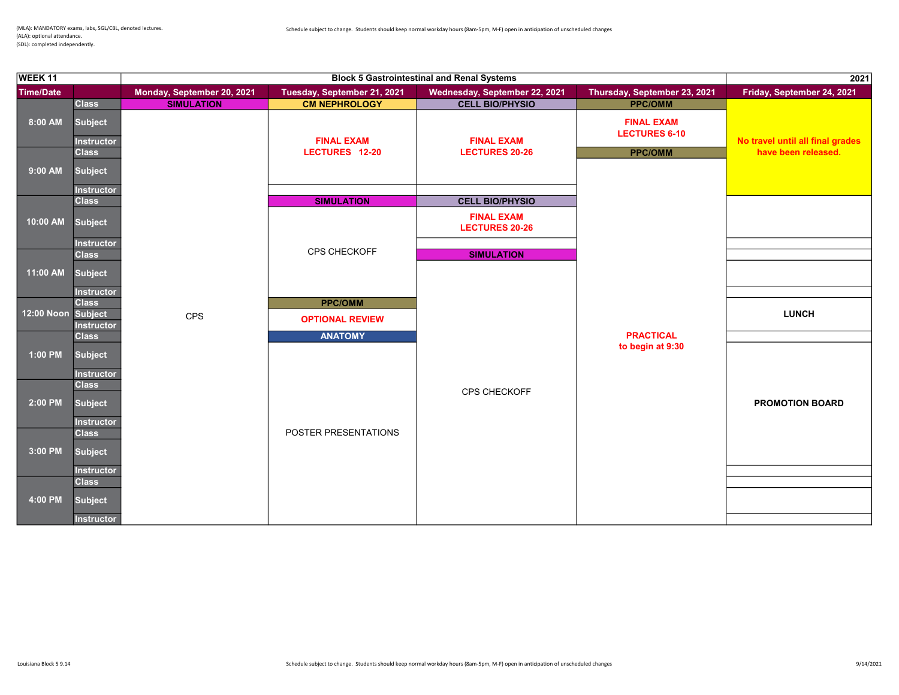| WEEK 11            |                                   |                            |                             | <b>Block 5 Gastrointestinal and Renal Systems</b> |                                           | 2021                                                    |
|--------------------|-----------------------------------|----------------------------|-----------------------------|---------------------------------------------------|-------------------------------------------|---------------------------------------------------------|
| <b>Time/Date</b>   |                                   | Monday, September 20, 2021 | Tuesday, September 21, 2021 | Wednesday, September 22, 2021                     | Thursday, September 23, 2021              | Friday, September 24, 2021                              |
|                    | <b>Class</b>                      | <b>SIMULATION</b>          | <b>CM NEPHROLOGY</b>        | <b>CELL BIO/PHYSIO</b>                            | <b>PPC/OMM</b>                            |                                                         |
| 8:00 AM            | <b>Subject</b>                    |                            | <b>FINAL EXAM</b>           | <b>FINAL EXAM</b>                                 | <b>FINAL EXAM</b><br><b>LECTURES 6-10</b> |                                                         |
|                    | <b>Instructor</b><br><b>Class</b> |                            | LECTURES 12-20              | <b>LECTURES 20-26</b>                             | <b>PPC/OMM</b>                            | No travel until all final grades<br>have been released. |
| 9:00 AM            | <b>Subject</b>                    |                            |                             |                                                   |                                           |                                                         |
|                    | <b>Instructor</b>                 |                            |                             |                                                   |                                           |                                                         |
|                    | <b>Class</b>                      |                            | <b>SIMULATION</b>           | <b>CELL BIO/PHYSIO</b>                            |                                           |                                                         |
| 10:00 AM           | <b>Subject</b>                    |                            |                             | <b>FINAL EXAM</b><br><b>LECTURES 20-26</b>        |                                           |                                                         |
|                    | <b>Instructor</b>                 |                            | CPS CHECKOFF                |                                                   |                                           |                                                         |
|                    | <b>Class</b>                      |                            |                             | <b>SIMULATION</b>                                 |                                           |                                                         |
| 11:00 AM           | <b>Subject</b>                    |                            |                             |                                                   |                                           |                                                         |
|                    | <b>Instructor</b><br><b>Class</b> |                            | <b>PPC/OMM</b>              |                                                   |                                           |                                                         |
| 12:00 Noon Subject |                                   | CPS                        | <b>OPTIONAL REVIEW</b>      |                                                   |                                           | <b>LUNCH</b>                                            |
|                    | Instructor<br><b>Class</b>        |                            | <b>ANATOMY</b>              |                                                   | <b>PRACTICAL</b>                          |                                                         |
|                    |                                   |                            |                             |                                                   | to begin at 9:30                          |                                                         |
| 1:00 PM            | <b>Subject</b>                    |                            |                             |                                                   |                                           |                                                         |
|                    | Instructor                        |                            |                             |                                                   |                                           |                                                         |
| 2:00 PM            | <b>Class</b><br><b>Subject</b>    |                            |                             | <b>CPS CHECKOFF</b>                               |                                           | <b>PROMOTION BOARD</b>                                  |
|                    | Instructor                        |                            |                             |                                                   |                                           |                                                         |
|                    | <b>Class</b>                      |                            | POSTER PRESENTATIONS        |                                                   |                                           |                                                         |
| 3:00 PM            | <b>Subject</b>                    |                            |                             |                                                   |                                           |                                                         |
|                    | <b>Instructor</b>                 |                            |                             |                                                   |                                           |                                                         |
|                    | <b>Class</b>                      |                            |                             |                                                   |                                           |                                                         |
| 4:00 PM            | <b>Subject</b>                    |                            |                             |                                                   |                                           |                                                         |
|                    | <b>Instructor</b>                 |                            |                             |                                                   |                                           |                                                         |